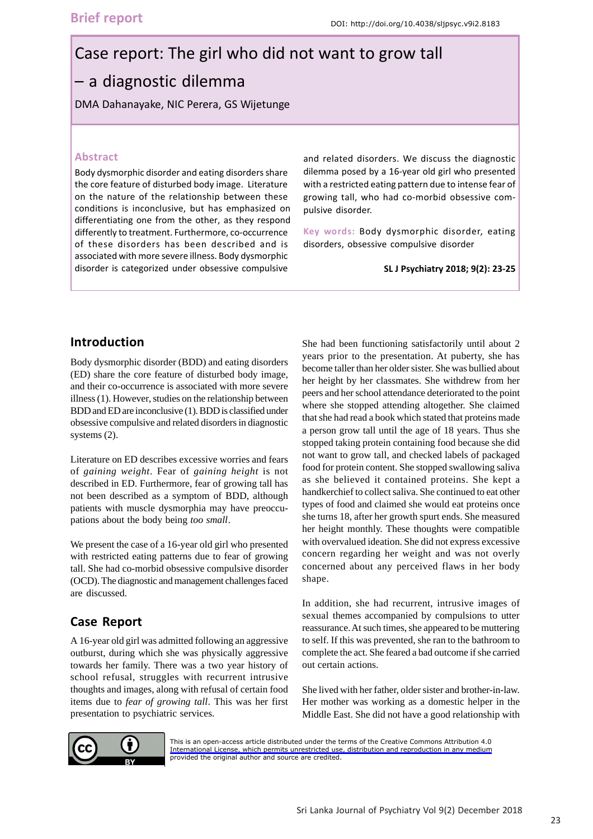# Case report: The girl who did not want to grow tall – a diagnostic dilemma

DMA Dahanayake, NIC Perera, GS Wijetunge

### **Abstract**

Body dysmorphic disorder and eating disorders share the core feature of disturbed body image. Literature on the nature of the relationship between these conditions is inconclusive, but has emphasized on differentiating one from the other, as they respond differently to treatment. Furthermore, co-occurrence of these disorders has been described and is associated with more severe illness. Body dysmorphic disorder is categorized under obsessive compulsive

and related disorders. We discuss the diagnostic dilemma posed by a 16-year old girl who presented with a restricted eating pattern due to intense fear of growing tall, who had co-morbid obsessive compulsive disorder.

**Key words:** Body dysmorphic disorder, eating disorders, obsessive compulsive disorder

**SL J Psychiatry 2018; 9(2): 23-25**

## **Introduction**

Body dysmorphic disorder (BDD) and eating disorders (ED) share the core feature of disturbed body image, and their co-occurrence is associated with more severe illness (1). However, studies on the relationship between BDD and ED are inconclusive (1). BDD is classified under obsessive compulsive and related disorders in diagnostic systems (2).

Literature on ED describes excessive worries and fears of *gaining weight*. Fear of *gaining height* is not described in ED. Furthermore, fear of growing tall has not been described as a symptom of BDD, although patients with muscle dysmorphia may have preoccupations about the body being *too small*.

We present the case of a 16-year old girl who presented with restricted eating patterns due to fear of growing tall. She had co-morbid obsessive compulsive disorder (OCD). The diagnostic and management challenges faced are discussed.

# **Case Report**

A 16-year old girl was admitted following an aggressive outburst, during which she was physically aggressive towards her family. There was a two year history of school refusal, struggles with recurrent intrusive thoughts and images, along with refusal of certain food items due to *fear of growing tall*. This was her first presentation to psychiatric services.

She had been functioning satisfactorily until about 2 years prior to the presentation. At puberty, she has become taller than her older sister. She was bullied about her height by her classmates. She withdrew from her peers and her school attendance deteriorated to the point where she stopped attending altogether. She claimed that she had read a book which stated that proteins made a person grow tall until the age of 18 years. Thus she stopped taking protein containing food because she did not want to grow tall, and checked labels of packaged food for protein content. She stopped swallowing saliva as she believed it contained proteins. She kept a handkerchief to collect saliva. She continued to eat other types of food and claimed she would eat proteins once she turns 18, after her growth spurt ends. She measured her height monthly. These thoughts were compatible with overvalued ideation. She did not express excessive concern regarding her weight and was not overly concerned about any perceived flaws in her body shape.

In addition, she had recurrent, intrusive images of sexual themes accompanied by compulsions to utter reassurance. At such times, she appeared to be muttering to self. If this was prevented, she ran to the bathroom to complete the act. She feared a bad outcome if she carried out certain actions.

She lived with her father, older sister and brother-in-law. Her mother was working as a domestic helper in the Middle East. She did not have a good relationship with



[This is an open-access article distributed under the terms of the Creative Commons Attribution 4.0](https://creativecommons.org/licenses/by/4.0/legalcode) International License, which permits unrestricted use, distribution and reproduction in any medium provided the original author and source are credited.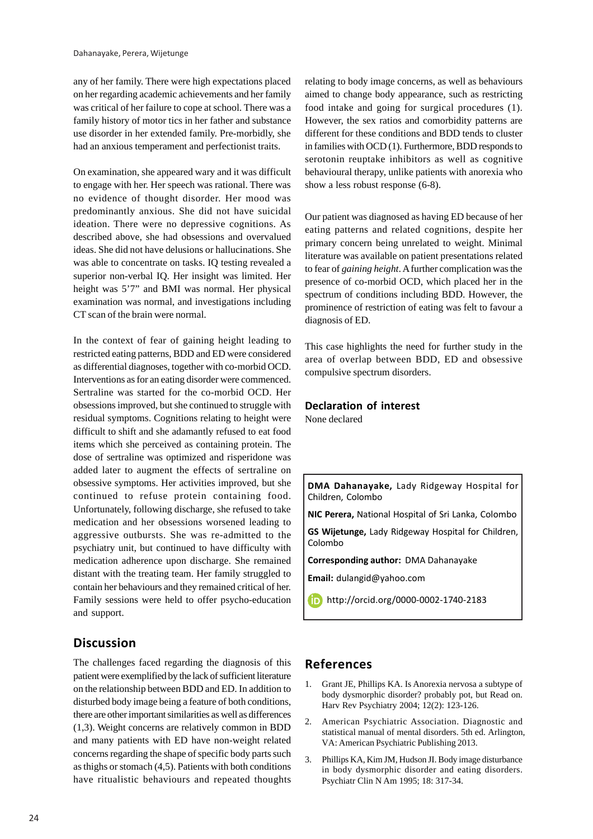any of her family. There were high expectations placed on her regarding academic achievements and her family was critical of her failure to cope at school. There was a family history of motor tics in her father and substance use disorder in her extended family. Pre-morbidly, she had an anxious temperament and perfectionist traits.

On examination, she appeared wary and it was difficult to engage with her. Her speech was rational. There was no evidence of thought disorder. Her mood was predominantly anxious. She did not have suicidal ideation. There were no depressive cognitions. As described above, she had obsessions and overvalued ideas. She did not have delusions or hallucinations. She was able to concentrate on tasks. IQ testing revealed a superior non-verbal IQ. Her insight was limited. Her height was 5'7" and BMI was normal. Her physical examination was normal, and investigations including CT scan of the brain were normal.

In the context of fear of gaining height leading to restricted eating patterns, BDD and ED were considered as differential diagnoses, together with co-morbid OCD. Interventions as for an eating disorder were commenced. Sertraline was started for the co-morbid OCD. Her obsessions improved, but she continued to struggle with residual symptoms. Cognitions relating to height were difficult to shift and she adamantly refused to eat food items which she perceived as containing protein. The dose of sertraline was optimized and risperidone was added later to augment the effects of sertraline on obsessive symptoms. Her activities improved, but she continued to refuse protein containing food. Unfortunately, following discharge, she refused to take medication and her obsessions worsened leading to aggressive outbursts. She was re-admitted to the psychiatry unit, but continued to have difficulty with medication adherence upon discharge. She remained distant with the treating team. Her family struggled to contain her behaviours and they remained critical of her. Family sessions were held to offer psycho-education and support.

## **Discussion**

The challenges faced regarding the diagnosis of this patient were exemplified by the lack of sufficient literature on the relationship between BDD and ED. In addition to disturbed body image being a feature of both conditions, there are other important similarities as well as differences (1,3). Weight concerns are relatively common in BDD and many patients with ED have non-weight related concerns regarding the shape of specific body parts such as thighs or stomach (4,5). Patients with both conditions have ritualistic behaviours and repeated thoughts relating to body image concerns, as well as behaviours aimed to change body appearance, such as restricting food intake and going for surgical procedures (1). However, the sex ratios and comorbidity patterns are different for these conditions and BDD tends to cluster in families with OCD (1). Furthermore, BDD responds to serotonin reuptake inhibitors as well as cognitive behavioural therapy, unlike patients with anorexia who show a less robust response (6-8).

Our patient was diagnosed as having ED because of her eating patterns and related cognitions, despite her primary concern being unrelated to weight. Minimal literature was available on patient presentations related to fear of *gaining height*. A further complication was the presence of co-morbid OCD, which placed her in the spectrum of conditions including BDD. However, the prominence of restriction of eating was felt to favour a diagnosis of ED.

This case highlights the need for further study in the area of overlap between BDD, ED and obsessive compulsive spectrum disorders.

#### **Declaration of interest** None declared

**DMA Dahanayake,** Lady Ridgeway Hospital for Children, Colombo

**NIC Perera,** National Hospital of Sri Lanka, Colombo

**GS Wijetunge,** Lady Ridgeway Hospital for Children, Colombo

**Corresponding author:** DMA Dahanayake

**Email:** dulangid@yahoo.com

**b** http://orcid.org/0000-0002-1740-2183

## **References**

- 1. Grant JE, Phillips KA. Is Anorexia nervosa a subtype of body dysmorphic disorder? probably pot, but Read on. Harv Rev Psychiatry 2004; 12(2): 123-126.
- 2. American Psychiatric Association. Diagnostic and statistical manual of mental disorders. 5th ed. Arlington, VA: American Psychiatric Publishing 2013.
- 3. Phillips KA, Kim JM, Hudson JI. Body image disturbance in body dysmorphic disorder and eating disorders. Psychiatr Clin N Am 1995; 18: 317-34.